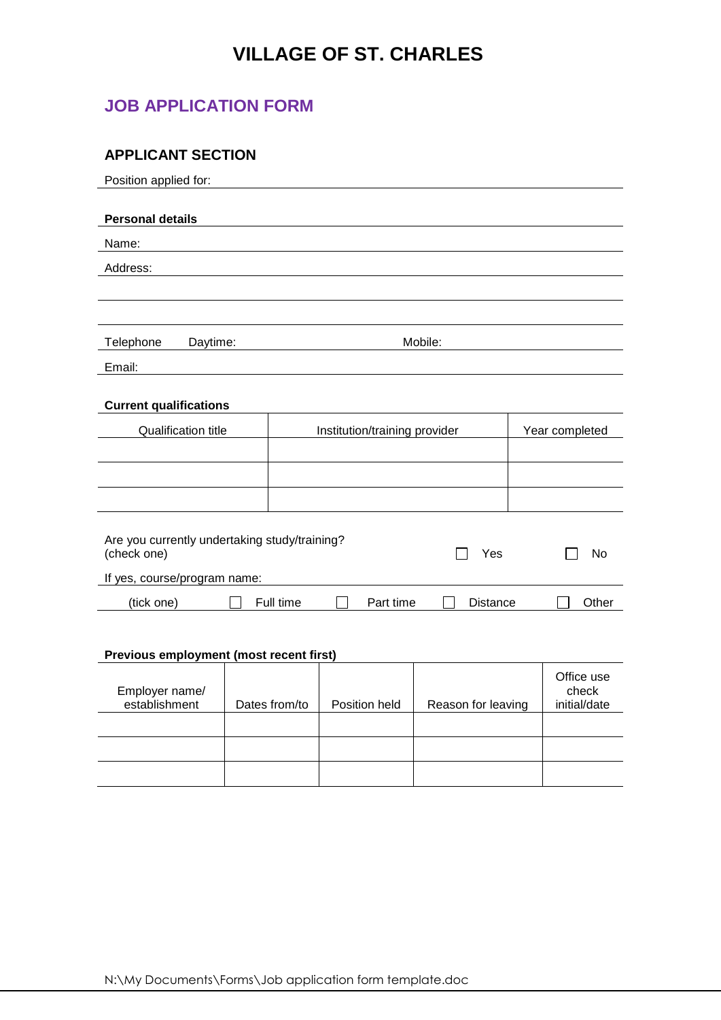## **VILLAGE OF ST. CHARLES**

### **JOB APPLICATION FORM**

### **APPLICANT SECTION**

| Position applied for:         |                                               |                               |  |           |                 |            |
|-------------------------------|-----------------------------------------------|-------------------------------|--|-----------|-----------------|------------|
|                               |                                               |                               |  |           |                 |            |
| <b>Personal details</b>       |                                               |                               |  |           |                 |            |
| Name:                         |                                               |                               |  |           |                 |            |
| Address:                      |                                               |                               |  |           |                 |            |
|                               |                                               |                               |  |           |                 |            |
|                               |                                               |                               |  |           |                 |            |
| Telephone                     | Daytime:                                      |                               |  |           | Mobile:         |            |
| Email:                        |                                               |                               |  |           |                 |            |
|                               |                                               |                               |  |           |                 |            |
| <b>Current qualifications</b> |                                               |                               |  |           |                 |            |
| <b>Qualification title</b>    |                                               | Institution/training provider |  |           | Year completed  |            |
|                               |                                               |                               |  |           |                 |            |
|                               |                                               |                               |  |           |                 |            |
|                               |                                               |                               |  |           |                 |            |
|                               |                                               |                               |  |           |                 |            |
|                               | Are you currently undertaking study/training? |                               |  |           |                 |            |
| (check one)                   |                                               |                               |  |           | Yes             | No         |
|                               | If yes, course/program name:                  |                               |  |           |                 |            |
| (tick one)                    |                                               | Full time                     |  | Part time | <b>Distance</b> | Other      |
|                               |                                               |                               |  |           |                 |            |
|                               |                                               |                               |  |           |                 |            |
|                               | Previous employment (most recent first)       |                               |  |           |                 |            |
|                               |                                               |                               |  |           |                 | Office use |

| Employer name/<br>establishment | Dates from/to | Position held | Reason for leaving | Office use<br>check<br>initial/date |
|---------------------------------|---------------|---------------|--------------------|-------------------------------------|
|                                 |               |               |                    |                                     |
|                                 |               |               |                    |                                     |
|                                 |               |               |                    |                                     |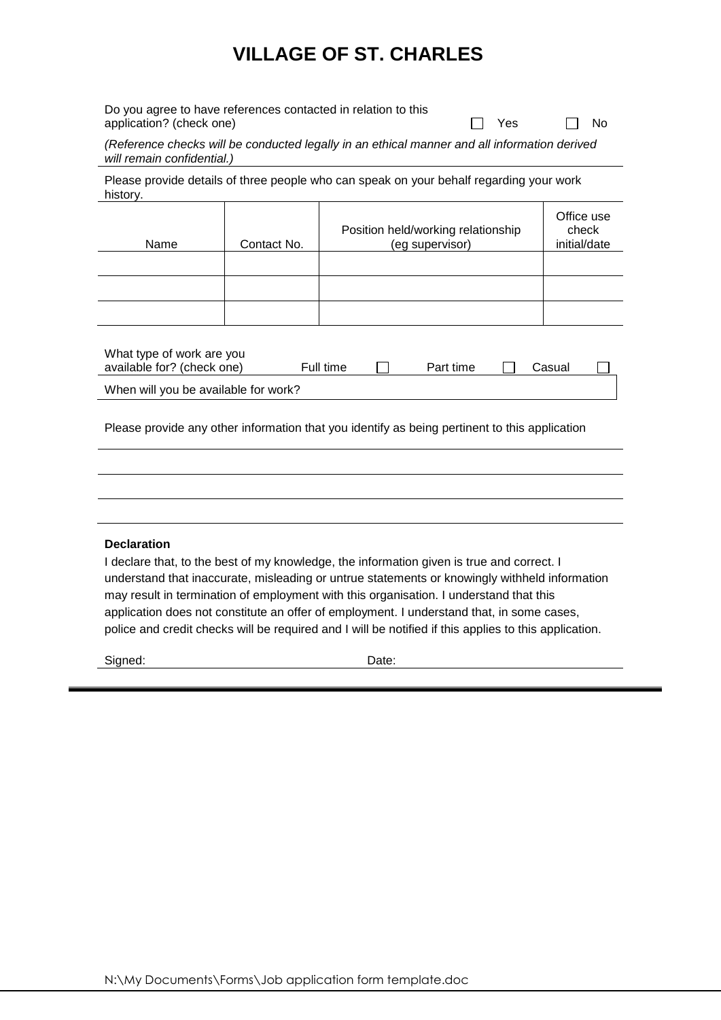## **VILLAGE OF ST. CHARLES**

| Do you agree to have references contacted in relation to this |              |     |
|---------------------------------------------------------------|--------------|-----|
| application? (check one)                                      | <b>T</b> Yes | -No |

*(Reference checks will be conducted legally in an ethical manner and all information derived will remain confidential.)*

Please provide details of three people who can speak on your behalf regarding your work history.

| Name                                                                                        | Contact No. | Position held/working relationship<br>(eg supervisor) | Office use<br>check<br>initial/date |  |  |  |
|---------------------------------------------------------------------------------------------|-------------|-------------------------------------------------------|-------------------------------------|--|--|--|
|                                                                                             |             |                                                       |                                     |  |  |  |
|                                                                                             |             |                                                       |                                     |  |  |  |
|                                                                                             |             |                                                       |                                     |  |  |  |
| What type of work are you<br>available for? (check one)<br>Full time<br>Part time<br>Casual |             |                                                       |                                     |  |  |  |
| When will you be available for work?                                                        |             |                                                       |                                     |  |  |  |

Please provide any other information that you identify as being pertinent to this application

#### **Declaration**

I declare that, to the best of my knowledge, the information given is true and correct. I understand that inaccurate, misleading or untrue statements or knowingly withheld information may result in termination of employment with this organisation. I understand that this application does not constitute an offer of employment. I understand that, in some cases, police and credit checks will be required and I will be notified if this applies to this application.

Signed: Date: